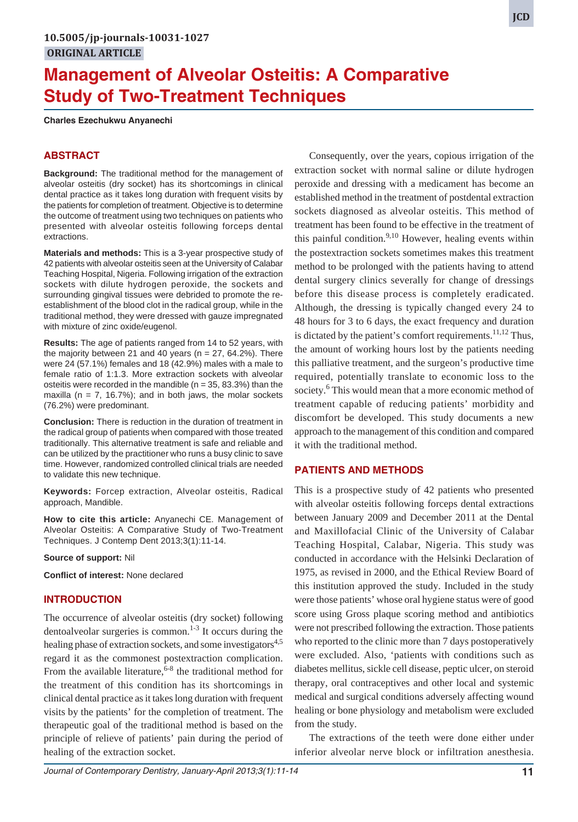# **Management of Alveolar Osteitis: A Comparative Study of Two-Treatment Techniques**

**Charles Ezechukwu Anyanechi**

### **ABSTRACT**

**Background:** The traditional method for the management of alveolar osteitis (dry socket) has its shortcomings in clinical dental practice as it takes long duration with frequent visits by the patients for completion of treatment. Objective is to determine the outcome of treatment using two techniques on patients who presented with alveolar osteitis following forceps dental extractions.

**Materials and methods:** This is a 3-year prospective study of 42 patients with alveolar osteitis seen at the University of Calabar Teaching Hospital, Nigeria. Following irrigation of the extraction sockets with dilute hydrogen peroxide, the sockets and surrounding gingival tissues were debrided to promote the reestablishment of the blood clot in the radical group, while in the traditional method, they were dressed with gauze impregnated with mixture of zinc oxide/eugenol.

**Results:** The age of patients ranged from 14 to 52 years, with the majority between 21 and 40 years ( $n = 27$ , 64.2%). There were 24 (57.1%) females and 18 (42.9%) males with a male to female ratio of 1:1.3. More extraction sockets with alveolar osteitis were recorded in the mandible ( $n = 35$ , 83.3%) than the maxilla ( $n = 7$ , 16.7%); and in both jaws, the molar sockets (76.2%) were predominant.

**Conclusion:** There is reduction in the duration of treatment in the radical group of patients when compared with those treated traditionally. This alternative treatment is safe and reliable and can be utilized by the practitioner who runs a busy clinic to save time. However, randomized controlled clinical trials are needed to validate this new technique.

**Keywords:** Forcep extraction, Alveolar osteitis, Radical approach, Mandible.

**How to cite this article:** Anyanechi CE. Management of Alveolar Osteitis: A Comparative Study of Two-Treatment Techniques. J Contemp Dent 2013;3(1):11-14.

#### **Source of support:** Nil

**Conflict of interest:** None declared

#### **INTRODUCTION**

The occurrence of alveolar osteitis (dry socket) following dentoalveolar surgeries is common.<sup>1-3</sup> It occurs during the healing phase of extraction sockets, and some investigators<sup>4,5</sup> regard it as the commonest postextraction complication. From the available literature,  $6-8$  the traditional method for the treatment of this condition has its shortcomings in clinical dental practice as it takes long duration with frequent visits by the patients' for the completion of treatment. The therapeutic goal of the traditional method is based on the principle of relieve of patients' pain during the period of healing of the extraction socket.

Consequently, over the years, copious irrigation of the extraction socket with normal saline or dilute hydrogen peroxide and dressing with a medicament has become an established method in the treatment of postdental extraction sockets diagnosed as alveolar osteitis. This method of treatment has been found to be effective in the treatment of this painful condition.<sup>9,10</sup> However, healing events within the postextraction sockets sometimes makes this treatment method to be prolonged with the patients having to attend dental surgery clinics severally for change of dressings before this disease process is completely eradicated. Although, the dressing is typically changed every 24 to 48 hours for 3 to 6 days, the exact frequency and duration is dictated by the patient's comfort requirements. $11,12$  Thus, the amount of working hours lost by the patients needing this palliative treatment, and the surgeon's productive time required, potentially translate to economic loss to the society.<sup>6</sup> This would mean that a more economic method of treatment capable of reducing patients' morbidity and discomfort be developed. This study documents a new approach to the management of this condition and compared it with the traditional method.

#### **PATIENTS AND METHODS**

This is a prospective study of 42 patients who presented with alveolar osteitis following forceps dental extractions between January 2009 and December 2011 at the Dental and Maxillofacial Clinic of the University of Calabar Teaching Hospital, Calabar, Nigeria. This study was conducted in accordance with the Helsinki Declaration of 1975, as revised in 2000, and the Ethical Review Board of this institution approved the study. Included in the study were those patients' whose oral hygiene status were of good score using Gross plaque scoring method and antibiotics were not prescribed following the extraction. Those patients who reported to the clinic more than 7 days postoperatively were excluded. Also, 'patients with conditions such as diabetes mellitus, sickle cell disease, peptic ulcer, on steroid therapy, oral contraceptives and other local and systemic medical and surgical conditions adversely affecting wound healing or bone physiology and metabolism were excluded from the study.

The extractions of the teeth were done either under inferior alveolar nerve block or infiltration anesthesia.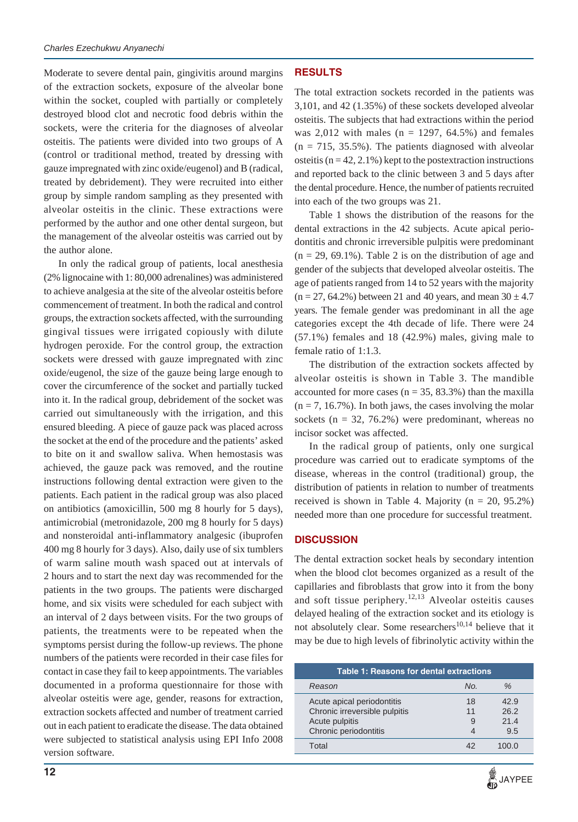Moderate to severe dental pain, gingivitis around margins of the extraction sockets, exposure of the alveolar bone within the socket, coupled with partially or completely destroyed blood clot and necrotic food debris within the sockets, were the criteria for the diagnoses of alveolar osteitis. The patients were divided into two groups of A (control or traditional method, treated by dressing with gauze impregnated with zinc oxide/eugenol) and B (radical, treated by debridement). They were recruited into either group by simple random sampling as they presented with alveolar osteitis in the clinic. These extractions were performed by the author and one other dental surgeon, but the management of the alveolar osteitis was carried out by the author alone.

In only the radical group of patients, local anesthesia (2% lignocaine with 1: 80,000 adrenalines) was administered to achieve analgesia at the site of the alveolar osteitis before commencement of treatment. In both the radical and control groups, the extraction sockets affected, with the surrounding gingival tissues were irrigated copiously with dilute hydrogen peroxide. For the control group, the extraction sockets were dressed with gauze impregnated with zinc oxide/eugenol, the size of the gauze being large enough to cover the circumference of the socket and partially tucked into it. In the radical group, debridement of the socket was carried out simultaneously with the irrigation, and this ensured bleeding. A piece of gauze pack was placed across the socket at the end of the procedure and the patients' asked to bite on it and swallow saliva. When hemostasis was achieved, the gauze pack was removed, and the routine instructions following dental extraction were given to the patients. Each patient in the radical group was also placed on antibiotics (amoxicillin, 500 mg 8 hourly for 5 days), antimicrobial (metronidazole, 200 mg 8 hourly for 5 days) and nonsteroidal anti-inflammatory analgesic (ibuprofen 400 mg 8 hourly for 3 days). Also, daily use of six tumblers of warm saline mouth wash spaced out at intervals of 2 hours and to start the next day was recommended for the patients in the two groups. The patients were discharged home, and six visits were scheduled for each subject with an interval of 2 days between visits. For the two groups of patients, the treatments were to be repeated when the symptoms persist during the follow-up reviews. The phone numbers of the patients were recorded in their case files for contact in case they fail to keep appointments. The variables documented in a proforma questionnaire for those with alveolar osteitis were age, gender, reasons for extraction, extraction sockets affected and number of treatment carried out in each patient to eradicate the disease. The data obtained were subjected to statistical analysis using EPI Info 2008 version software.

## **RESULTS**

The total extraction sockets recorded in the patients was 3,101, and 42 (1.35%) of these sockets developed alveolar osteitis. The subjects that had extractions within the period was  $2,012$  with males (n = 1297, 64.5%) and females  $(n = 715, 35.5\%)$ . The patients diagnosed with alveolar osteitis ( $n = 42, 2.1\%$ ) kept to the postextraction instructions and reported back to the clinic between 3 and 5 days after the dental procedure. Hence, the number of patients recruited into each of the two groups was 21.

Table 1 shows the distribution of the reasons for the dental extractions in the 42 subjects. Acute apical periodontitis and chronic irreversible pulpitis were predominant  $(n = 29, 69.1\%)$ . Table 2 is on the distribution of age and gender of the subjects that developed alveolar osteitis. The age of patients ranged from 14 to 52 years with the majority  $(n = 27, 64.2\%)$  between 21 and 40 years, and mean 30  $\pm$  4.7 years. The female gender was predominant in all the age categories except the 4th decade of life. There were 24 (57.1%) females and 18 (42.9%) males, giving male to female ratio of 1:1.3.

The distribution of the extraction sockets affected by alveolar osteitis is shown in Table 3. The mandible accounted for more cases ( $n = 35, 83.3\%$ ) than the maxilla  $(n = 7, 16.7\%)$ . In both jaws, the cases involving the molar sockets ( $n = 32, 76.2\%$ ) were predominant, whereas no incisor socket was affected.

In the radical group of patients, only one surgical procedure was carried out to eradicate symptoms of the disease, whereas in the control (traditional) group, the distribution of patients in relation to number of treatments received is shown in Table 4. Majority ( $n = 20, 95.2\%$ ) needed more than one procedure for successful treatment.

#### **DISCUSSION**

The dental extraction socket heals by secondary intention when the blood clot becomes organized as a result of the capillaries and fibroblasts that grow into it from the bony and soft tissue periphery.<sup>12,13</sup> Alveolar osteitis causes delayed healing of the extraction socket and its etiology is not absolutely clear. Some researchers<sup>10,14</sup> believe that it may be due to high levels of fibrinolytic activity within the

| Table 1: Reasons for dental extractions                                                                |          |                             |  |  |
|--------------------------------------------------------------------------------------------------------|----------|-----------------------------|--|--|
| Reason                                                                                                 | No.      | $\%$                        |  |  |
| Acute apical periodontitis<br>Chronic irreversible pulpitis<br>Acute pulpitis<br>Chronic periodontitis | 18<br>11 | 42.9<br>26.2<br>21.4<br>9.5 |  |  |
| Total                                                                                                  |          |                             |  |  |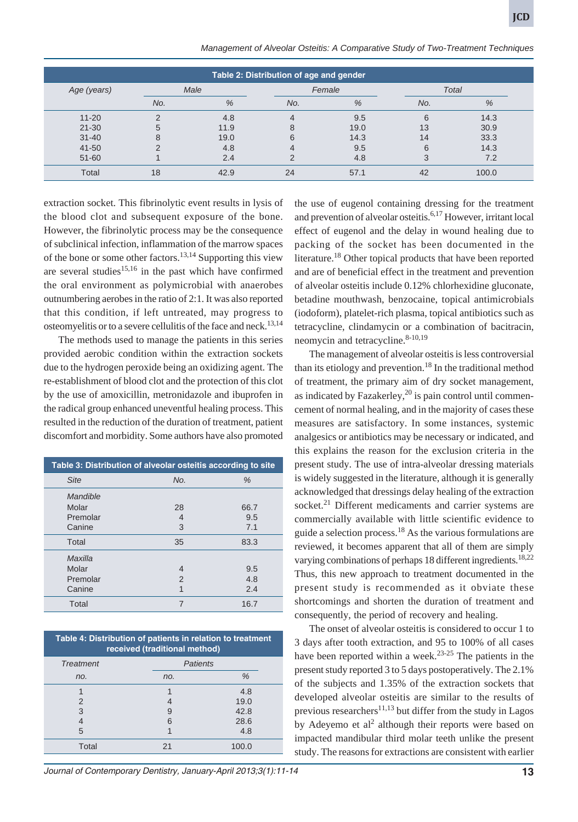| Management of Alveolar Osteitis: A Comparative Study of Two-Treatment Techniques |  |  |  |  |  |
|----------------------------------------------------------------------------------|--|--|--|--|--|
|----------------------------------------------------------------------------------|--|--|--|--|--|

| Table 2: Distribution of age and gender |      |      |        |      |       |       |
|-----------------------------------------|------|------|--------|------|-------|-------|
| Age (years)                             | Male |      | Female |      | Total |       |
|                                         | No.  | %    | No.    | %    | No.   | %     |
| $11 - 20$                               | ⌒    | 4.8  | 4      | 9.5  | 6     | 14.3  |
| $21 - 30$                               | 5    | 11.9 | 8      | 19.0 | 13    | 30.9  |
| $31 - 40$                               | 8    | 19.0 | 6      | 14.3 | 14    | 33.3  |
| 41-50                                   |      | 4.8  | 4      | 9.5  | 6     | 14.3  |
| 51-60                                   |      | 2.4  | っ      | 4.8  | 3     | 7.2   |
| Total                                   | 18   | 42.9 | 24     | 57.1 | 42    | 100.0 |

extraction socket. This fibrinolytic event results in lysis of the blood clot and subsequent exposure of the bone. However, the fibrinolytic process may be the consequence of subclinical infection, inflammation of the marrow spaces of the bone or some other factors.<sup>13,14</sup> Supporting this view are several studies<sup>15,16</sup> in the past which have confirmed the oral environment as polymicrobial with anaerobes outnumbering aerobes in the ratio of 2:1. It was also reported that this condition, if left untreated, may progress to osteomyelitis or to a severe cellulitis of the face and neck.<sup>13,14</sup>

The methods used to manage the patients in this series provided aerobic condition within the extraction sockets due to the hydrogen peroxide being an oxidizing agent. The re-establishment of blood clot and the protection of this clot by the use of amoxicillin, metronidazole and ibuprofen in the radical group enhanced uneventful healing process. This resulted in the reduction of the duration of treatment, patient discomfort and morbidity. Some authors have also promoted

| Table 3: Distribution of alveolar osteitis according to site |                |               |  |
|--------------------------------------------------------------|----------------|---------------|--|
| <b>Site</b>                                                  | No.            | $\frac{0}{0}$ |  |
| Mandible                                                     |                |               |  |
| Molar                                                        | 28             | 66.7          |  |
| Premolar                                                     | 4              | 9.5           |  |
| Canine                                                       | 3              | 7.1           |  |
| Total                                                        | 35             | 83.3          |  |
| Maxilla                                                      |                |               |  |
| Molar                                                        | 4              | 9.5           |  |
| Premolar                                                     | $\overline{2}$ | 4.8           |  |
| Canine                                                       | 1              | 2.4           |  |
| Total                                                        | 7              | 16.7          |  |

| Table 4: Distribution of patients in relation to treatment<br>received (traditional method) |     |                 |  |  |
|---------------------------------------------------------------------------------------------|-----|-----------------|--|--|
| <b>Treatment</b>                                                                            |     | <b>Patients</b> |  |  |
| no.                                                                                         | no. | %               |  |  |
|                                                                                             |     | 4.8             |  |  |
| $\mathcal{P}$                                                                               |     | 19.0            |  |  |
| 3                                                                                           | 9   | 42.8            |  |  |
|                                                                                             | 6   | 28.6            |  |  |
| 5                                                                                           |     | 4.8             |  |  |
| Total                                                                                       | 21  | 100.0           |  |  |

*Journal of Contemporary Dentistry, January-April 2013;3(1):11-14* **13**

the use of eugenol containing dressing for the treatment and prevention of alveolar osteitis.<sup>6,17</sup> However, irritant local effect of eugenol and the delay in wound healing due to packing of the socket has been documented in the literature.<sup>18</sup> Other topical products that have been reported and are of beneficial effect in the treatment and prevention of alveolar osteitis include 0.12% chlorhexidine gluconate, betadine mouthwash, benzocaine, topical antimicrobials (iodoform), platelet-rich plasma, topical antibiotics such as tetracycline, clindamycin or a combination of bacitracin, neomycin and tetracycline. $8-10,19$ 

The management of alveolar osteitis is less controversial than its etiology and prevention.<sup>18</sup> In the traditional method of treatment, the primary aim of dry socket management, as indicated by Fazakerley,<sup>20</sup> is pain control until commencement of normal healing, and in the majority of cases these measures are satisfactory. In some instances, systemic analgesics or antibiotics may be necessary or indicated, and this explains the reason for the exclusion criteria in the present study. The use of intra-alveolar dressing materials is widely suggested in the literature, although it is generally acknowledged that dressings delay healing of the extraction socket.<sup>21</sup> Different medicaments and carrier systems are commercially available with little scientific evidence to guide a selection process.<sup>18</sup> As the various formulations are reviewed, it becomes apparent that all of them are simply varying combinations of perhaps 18 different ingredients.<sup>18,22</sup> Thus, this new approach to treatment documented in the present study is recommended as it obviate these shortcomings and shorten the duration of treatment and consequently, the period of recovery and healing.

The onset of alveolar osteitis is considered to occur 1 to 3 days after tooth extraction, and 95 to 100% of all cases have been reported within a week.<sup>23-25</sup> The patients in the present study reported 3 to 5 days postoperatively. The 2.1% of the subjects and 1.35% of the extraction sockets that developed alveolar osteitis are similar to the results of previous researchers<sup>11,13</sup> but differ from the study in Lagos by Adeyemo et al<sup>2</sup> although their reports were based on impacted mandibular third molar teeth unlike the present study. The reasons for extractions are consistent with earlier